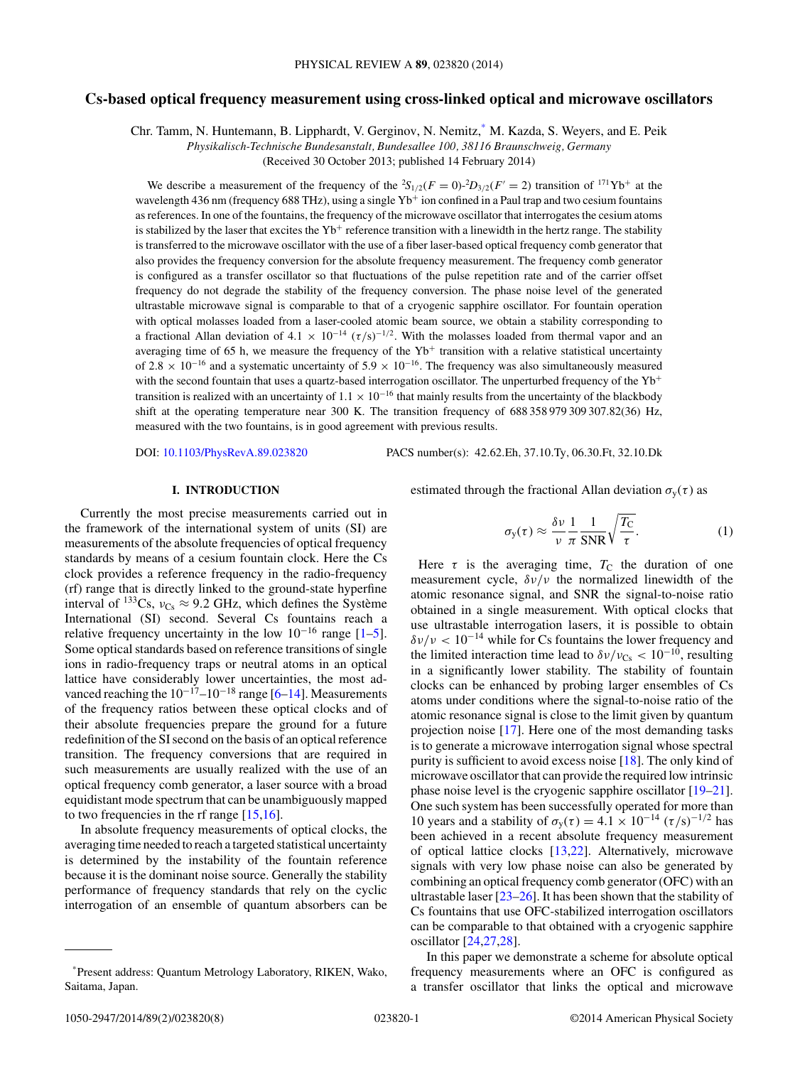# **Cs-based optical frequency measurement using cross-linked optical and microwave oscillators**

Chr. Tamm, N. Huntemann, B. Lipphardt, V. Gerginov, N. Nemitz,\* M. Kazda, S. Weyers, and E. Peik

*Physikalisch-Technische Bundesanstalt, Bundesallee 100, 38116 Braunschweig, Germany*

(Received 30 October 2013; published 14 February 2014)

We describe a measurement of the frequency of the  ${}^2S_{1/2}(F = 0)$ - ${}^2D_{3/2}(F' = 2)$  transition of  ${}^{171}Yb^+$  at the wavelength 436 nm (frequency 688 THz), using a single Yb<sup>+</sup> ion confined in a Paul trap and two cesium fountains as references. In one of the fountains, the frequency of the microwave oscillator that interrogates the cesium atoms is stabilized by the laser that excites the  $Yb^+$  reference transition with a linewidth in the hertz range. The stability is transferred to the microwave oscillator with the use of a fiber laser-based optical frequency comb generator that also provides the frequency conversion for the absolute frequency measurement. The frequency comb generator is configured as a transfer oscillator so that fluctuations of the pulse repetition rate and of the carrier offset frequency do not degrade the stability of the frequency conversion. The phase noise level of the generated ultrastable microwave signal is comparable to that of a cryogenic sapphire oscillator. For fountain operation with optical molasses loaded from a laser-cooled atomic beam source, we obtain a stability corresponding to a fractional Allan deviation of  $4.1 \times 10^{-14}$  ( $\tau/s$ )<sup>-1/2</sup>. With the molasses loaded from thermal vapor and an averaging time of 65 h, we measure the frequency of the  $Yb<sup>+</sup>$  transition with a relative statistical uncertainty of 2.8  $\times$  10<sup>-16</sup> and a systematic uncertainty of 5.9  $\times$  10<sup>-16</sup>. The frequency was also simultaneously measured with the second fountain that uses a quartz-based interrogation oscillator. The unperturbed frequency of the Yb<sup>+</sup> transition is realized with an uncertainty of  $1.1 \times 10^{-16}$  that mainly results from the uncertainty of the blackbody shift at the operating temperature near 300 K. The transition frequency of 688 358 979 309 307.82(36) Hz, measured with the two fountains, is in good agreement with previous results.

DOI: [10.1103/PhysRevA.89.023820](http://dx.doi.org/10.1103/PhysRevA.89.023820) PACS number(s): 42*.*62*.*Eh*,* 37*.*10*.*Ty*,* 06*.*30*.*Ft*,* 32*.*10*.*Dk

## **I. INTRODUCTION**

Currently the most precise measurements carried out in the framework of the international system of units (SI) are measurements of the absolute frequencies of optical frequency standards by means of a cesium fountain clock. Here the Cs clock provides a reference frequency in the radio-frequency (rf) range that is directly linked to the ground-state hyperfine interval of <sup>133</sup>Cs,  $v_{Cs} \approx 9.2$  GHz, which defines the Système International (SI) second. Several Cs fountains reach a relative frequency uncertainty in the low  $10^{-16}$  range  $[1–5]$ . Some optical standards based on reference transitions of single ions in radio-frequency traps or neutral atoms in an optical lattice have considerably lower uncertainties, the most advanced reaching the  $10^{-17}$ – $10^{-18}$  range [\[6–14\]](#page-6-0). Measurements of the frequency ratios between these optical clocks and of their absolute frequencies prepare the ground for a future redefinition of the SI second on the basis of an optical reference transition. The frequency conversions that are required in such measurements are usually realized with the use of an optical frequency comb generator, a laser source with a broad equidistant mode spectrum that can be unambiguously mapped to two frequencies in the rf range [\[15,16\]](#page-6-0).

In absolute frequency measurements of optical clocks, the averaging time needed to reach a targeted statistical uncertainty is determined by the instability of the fountain reference because it is the dominant noise source. Generally the stability performance of frequency standards that rely on the cyclic interrogation of an ensemble of quantum absorbers can be estimated through the fractional Allan deviation  $\sigma_{v}(\tau)$  as

$$
\sigma_{\rm y}(\tau) \approx \frac{\delta v}{v} \frac{1}{\pi} \frac{1}{\text{SNR}} \sqrt{\frac{T_{\rm C}}{\tau}}.
$$
 (1)

Here  $\tau$  is the averaging time,  $T_c$  the duration of one measurement cycle, *δν/ν* the normalized linewidth of the atomic resonance signal, and SNR the signal-to-noise ratio obtained in a single measurement. With optical clocks that use ultrastable interrogation lasers, it is possible to obtain *δν/ν <* 10−<sup>14</sup> while for Cs fountains the lower frequency and the limited interaction time lead to  $\delta v/v_{\text{Cs}} < 10^{-10}$ , resulting in a significantly lower stability. The stability of fountain clocks can be enhanced by probing larger ensembles of Cs atoms under conditions where the signal-to-noise ratio of the atomic resonance signal is close to the limit given by quantum projection noise [\[17\]](#page-6-0). Here one of the most demanding tasks is to generate a microwave interrogation signal whose spectral purity is sufficient to avoid excess noise [\[18\]](#page-6-0). The only kind of microwave oscillator that can provide the required low intrinsic phase noise level is the cryogenic sapphire oscillator [\[19–21\]](#page-6-0). One such system has been successfully operated for more than 10 years and a stability of  $\sigma_y(\tau) = 4.1 \times 10^{-14} (\tau/s)^{-1/2}$  has been achieved in a recent absolute frequency measurement of optical lattice clocks [\[13,](#page-6-0)[22\]](#page-7-0). Alternatively, microwave signals with very low phase noise can also be generated by combining an optical frequency comb generator (OFC) with an ultrastable laser [\[23–26\]](#page-7-0). It has been shown that the stability of Cs fountains that use OFC-stabilized interrogation oscillators can be comparable to that obtained with a cryogenic sapphire oscillator [\[24,27,28\]](#page-7-0).

In this paper we demonstrate a scheme for absolute optical frequency measurements where an OFC is configured as a transfer oscillator that links the optical and microwave

<sup>\*</sup>Present address: Quantum Metrology Laboratory, RIKEN, Wako, Saitama, Japan.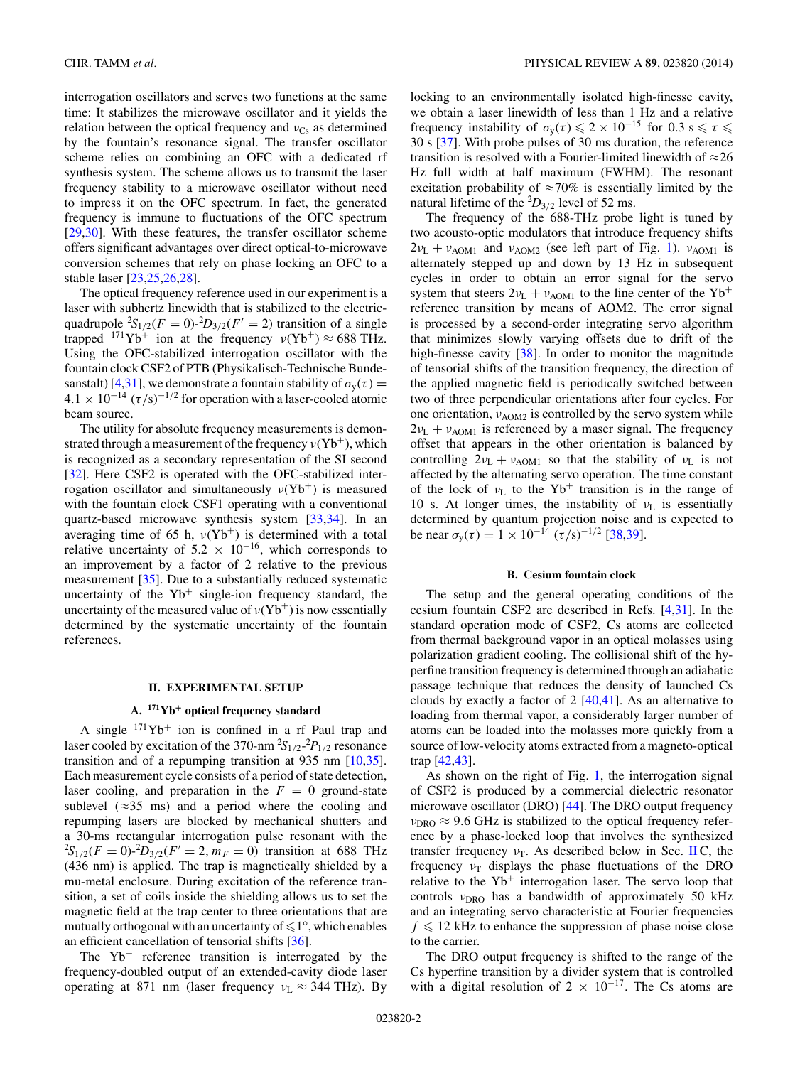<span id="page-1-0"></span>interrogation oscillators and serves two functions at the same time: It stabilizes the microwave oscillator and it yields the relation between the optical frequency and  $v_{Cs}$  as determined by the fountain's resonance signal. The transfer oscillator scheme relies on combining an OFC with a dedicated rf synthesis system. The scheme allows us to transmit the laser frequency stability to a microwave oscillator without need to impress it on the OFC spectrum. In fact, the generated frequency is immune to fluctuations of the OFC spectrum [\[29,30\]](#page-7-0). With these features, the transfer oscillator scheme offers significant advantages over direct optical-to-microwave conversion schemes that rely on phase locking an OFC to a stable laser [\[23,25,26,28\]](#page-7-0).

The optical frequency reference used in our experiment is a laser with subhertz linewidth that is stabilized to the electricquadrupole  ${}^{2}S_{1/2}(F = 0) - {}^{2}D_{3/2}(F' = 2)$  transition of a single trapped  $^{171}\text{Yb}^+$  ion at the frequency  $v(\text{Yb}^+) \approx 688 \text{ THz}$ . Using the OFC-stabilized interrogation oscillator with the fountain clock CSF2 of PTB (Physikalisch-Technische Bunde-sanstalt) [\[4](#page-6-0)[,31\]](#page-7-0), we demonstrate a fountain stability of  $\sigma_{v}(\tau) =$  $4.1 \times 10^{-14}$  ( $\tau$ /s)<sup>-1/2</sup> for operation with a laser-cooled atomic beam source.

The utility for absolute frequency measurements is demonstrated through a measurement of the frequency *ν*(Yb+), which is recognized as a secondary representation of the SI second [\[32\]](#page-7-0). Here CSF2 is operated with the OFC-stabilized interrogation oscillator and simultaneously  $v(Yb^+)$  is measured with the fountain clock CSF1 operating with a conventional quartz-based microwave synthesis system [\[33,34\]](#page-7-0). In an averaging time of 65 h,  $v(Yb<sup>+</sup>)$  is determined with a total relative uncertainty of  $5.2 \times 10^{-16}$ , which corresponds to an improvement by a factor of 2 relative to the previous measurement [\[35\]](#page-7-0). Due to a substantially reduced systematic uncertainty of the  $Yb^+$  single-ion frequency standard, the uncertainty of the measured value of  $v(Yb<sup>+</sup>)$  is now essentially determined by the systematic uncertainty of the fountain references.

### **II. EXPERIMENTAL SETUP**

# **A. 171Yb<sup>+</sup> optical frequency standard**

A single  $171\text{Yb}^+$  ion is confined in a rf Paul trap and laser cooled by excitation of the 370-nm <sup>2</sup> *S*1*/*2- 2 *P*1*/*<sup>2</sup> resonance transition and of a repumping transition at 935 nm [\[10](#page-6-0)[,35\]](#page-7-0). Each measurement cycle consists of a period of state detection, laser cooling, and preparation in the  $F = 0$  ground-state sublevel  $(\approx 35 \text{ ms})$  and a period where the cooling and repumping lasers are blocked by mechanical shutters and a 30-ms rectangular interrogation pulse resonant with the  ${}^{2}S_{1/2}(F = 0)$ <sup>2</sup> $D_{3/2}(F' = 2, m_F = 0)$  transition at 688 THz (436 nm) is applied. The trap is magnetically shielded by a mu-metal enclosure. During excitation of the reference transition, a set of coils inside the shielding allows us to set the magnetic field at the trap center to three orientations that are mutually orthogonal with an uncertainty of  $\leqslant$  1°, which enables an efficient cancellation of tensorial shifts [\[36\]](#page-7-0).

The  $Yb^{+}$  reference transition is interrogated by the frequency-doubled output of an extended-cavity diode laser operating at 871 nm (laser frequency *ν*<sub>L</sub> ≈ 344 THz). By

locking to an environmentally isolated high-finesse cavity, we obtain a laser linewidth of less than 1 Hz and a relative frequency instability of  $\sigma_y(\tau) \leq 2 \times 10^{-15}$  for 0.3 s  $\leq \tau \leq$ 30 s [\[37\]](#page-7-0). With probe pulses of 30 ms duration, the reference transition is resolved with a Fourier-limited linewidth of  $\approx$  26 Hz full width at half maximum (FWHM). The resonant excitation probability of  $\approx 70\%$  is essentially limited by the natural lifetime of the  ${}^{2}D_{3/2}$  level of 52 ms.

The frequency of the 688-THz probe light is tuned by two acousto-optic modulators that introduce frequency shifts  $2v_L + v_{AOM1}$  and  $v_{AOM2}$  (see left part of Fig. [1\)](#page-2-0).  $v_{AOM1}$  is alternately stepped up and down by 13 Hz in subsequent cycles in order to obtain an error signal for the servo system that steers  $2v_L + v_{AOM1}$  to the line center of the Yb<sup>+</sup> reference transition by means of AOM2. The error signal is processed by a second-order integrating servo algorithm that minimizes slowly varying offsets due to drift of the high-finesse cavity [\[38\]](#page-7-0). In order to monitor the magnitude of tensorial shifts of the transition frequency, the direction of the applied magnetic field is periodically switched between two of three perpendicular orientations after four cycles. For one orientation, *ν*<sub>AOM2</sub> is controlled by the servo system while  $2v_L + v_{AOM1}$  is referenced by a maser signal. The frequency offset that appears in the other orientation is balanced by controlling  $2v_L + v_{AOM1}$  so that the stability of  $v_L$  is not affected by the alternating servo operation. The time constant of the lock of  $v_L$  to the Yb<sup>+</sup> transition is in the range of 10 s. At longer times, the instability of  $v_L$  is essentially determined by quantum projection noise and is expected to be near  $\sigma_y(\tau) = 1 \times 10^{-14} (\tau/s)^{-1/2}$  [\[38,39\]](#page-7-0).

#### **B. Cesium fountain clock**

The setup and the general operating conditions of the cesium fountain CSF2 are described in Refs. [\[4,](#page-6-0)[31\]](#page-7-0). In the standard operation mode of CSF2, Cs atoms are collected from thermal background vapor in an optical molasses using polarization gradient cooling. The collisional shift of the hyperfine transition frequency is determined through an adiabatic passage technique that reduces the density of launched Cs clouds by exactly a factor of  $2 \left[40,41\right]$ . As an alternative to loading from thermal vapor, a considerably larger number of atoms can be loaded into the molasses more quickly from a source of low-velocity atoms extracted from a magneto-optical trap [\[42,43\]](#page-7-0).

As shown on the right of Fig. [1,](#page-2-0) the interrogation signal of CSF2 is produced by a commercial dielectric resonator microwave oscillator (DRO) [\[44\]](#page-7-0). The DRO output frequency  $v_{\text{DRO}} \approx 9.6$  GHz is stabilized to the optical frequency reference by a phase-locked loop that involves the synthesized transfer frequency  $v_T$ . As described below in Sec. IIC, the frequency  $v_T$  displays the phase fluctuations of the DRO relative to the  $Yb^+$  interrogation laser. The servo loop that controls *ν*<sub>DRO</sub> has a bandwidth of approximately 50 kHz and an integrating servo characteristic at Fourier frequencies  $f \leq 12$  kHz to enhance the suppression of phase noise close to the carrier.

The DRO output frequency is shifted to the range of the Cs hyperfine transition by a divider system that is controlled with a digital resolution of 2  $\times$  10<sup>-17</sup>. The Cs atoms are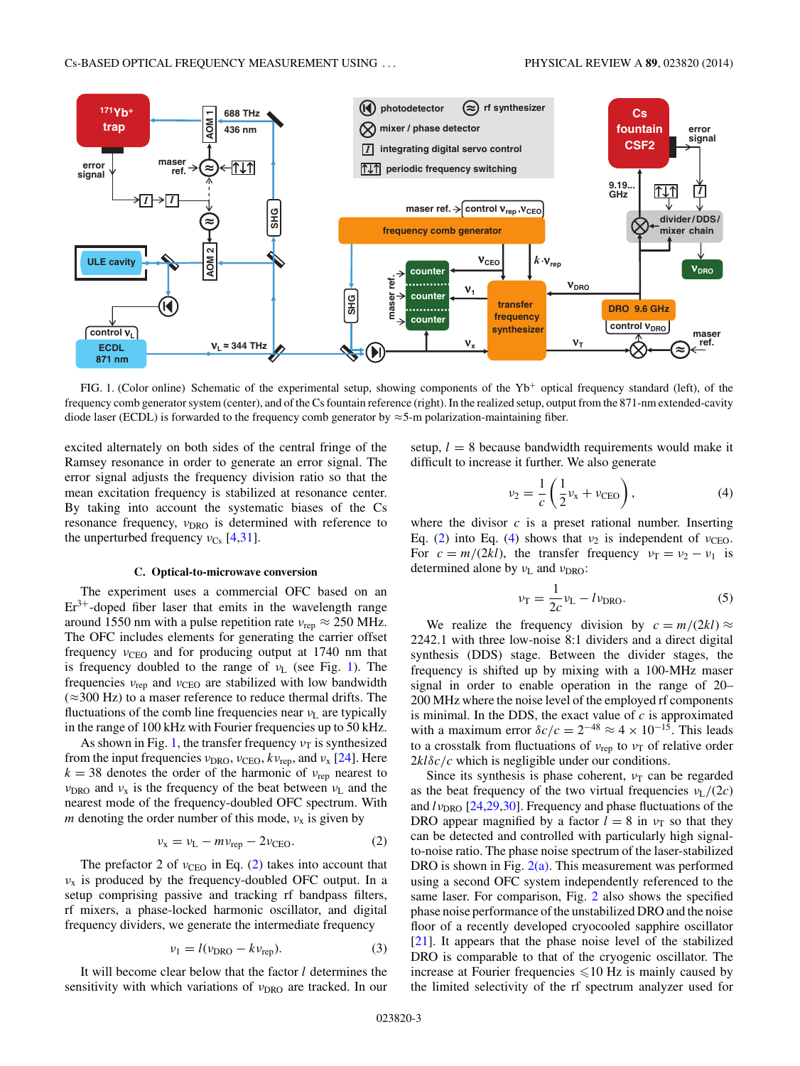<span id="page-2-0"></span>

FIG. 1. (Color online) Schematic of the experimental setup, showing components of the  $Yb<sup>+</sup>$  optical frequency standard (left), of the frequency comb generator system (center), and of the Cs fountain reference (right). In the realized setup, output from the 871-nm extended-cavity diode laser (ECDL) is forwarded to the frequency comb generator by  $\approx$  5-m polarization-maintaining fiber.

excited alternately on both sides of the central fringe of the Ramsey resonance in order to generate an error signal. The error signal adjusts the frequency division ratio so that the mean excitation frequency is stabilized at resonance center. By taking into account the systematic biases of the Cs resonance frequency, *ν*<sub>DRO</sub> is determined with reference to the unperturbed frequency  $v_{Cs}$  [\[4,](#page-6-0)[31\]](#page-7-0).

#### **C. Optical-to-microwave conversion**

The experiment uses a commercial OFC based on an  $Er<sup>3+</sup>$ -doped fiber laser that emits in the wavelength range around 1550 nm with a pulse repetition rate  $v_{\text{rep}} \approx 250 \text{ MHz}$ . The OFC includes elements for generating the carrier offset frequency  $v_{\text{CEO}}$  and for producing output at 1740 nm that is frequency doubled to the range of *ν*<sub>L</sub> (see Fig. 1). The frequencies  $v_{\text{rep}}$  and  $v_{\text{CEO}}$  are stabilized with low bandwidth  $(\approx 300 \text{ Hz})$  to a maser reference to reduce thermal drifts. The fluctuations of the comb line frequencies near *ν*<sup>L</sup> are typically in the range of 100 kHz with Fourier frequencies up to 50 kHz.

As shown in Fig. 1, the transfer frequency  $v_T$  is synthesized from the input frequencies  $v_{\text{DRO}}$ ,  $v_{\text{CEO}}$ ,  $kv_{\text{rep}}$ , and  $v_x$  [\[24\]](#page-7-0). Here  $k = 38$  denotes the order of the harmonic of  $v_{\text{rep}}$  nearest to *ν*<sub>DRO</sub> and *ν*<sub>x</sub> is the frequency of the beat between *ν*<sub>L</sub> and the nearest mode of the frequency-doubled OFC spectrum. With *m* denoting the order number of this mode,  $v_x$  is given by

$$
\nu_{\rm x} = \nu_{\rm L} - m\nu_{\rm rep} - 2\nu_{\rm CEO}.\tag{2}
$$

The prefactor 2 of  $v_{\text{CEO}}$  in Eq. (2) takes into account that *ν*<sup>x</sup> is produced by the frequency-doubled OFC output. In a setup comprising passive and tracking rf bandpass filters, rf mixers, a phase-locked harmonic oscillator, and digital frequency dividers, we generate the intermediate frequency

$$
v_1 = l(v_{\text{DRO}} - kv_{\text{rep}}). \tag{3}
$$

It will become clear below that the factor *l* determines the sensitivity with which variations of *ν*<sub>DRO</sub> are tracked. In our setup,  $l = 8$  because bandwidth requirements would make it difficult to increase it further. We also generate

$$
\nu_2 = \frac{1}{c} \left( \frac{1}{2} \nu_x + \nu_{\text{CEO}} \right),
$$
 (4)

where the divisor  $c$  is a preset rational number. Inserting Eq. (2) into Eq. (4) shows that  $v_2$  is independent of  $v_{\text{CEO}}$ . For  $c = m/(2kl)$ , the transfer frequency  $v_T = v_2 - v_1$  is determined alone by *ν*<sub>L</sub> and *ν*<sub>DRO</sub>:

$$
\nu_{\rm T} = \frac{1}{2c} \nu_{\rm L} - l \nu_{\rm DRO}.
$$
 (5)

We realize the frequency division by  $c = m/(2kl) \approx$ 2242*.*1 with three low-noise 8:1 dividers and a direct digital synthesis (DDS) stage. Between the divider stages, the frequency is shifted up by mixing with a 100-MHz maser signal in order to enable operation in the range of 20– 200 MHz where the noise level of the employed rf components is minimal. In the DDS, the exact value of *c* is approximated with a maximum error  $\delta c/c = 2^{-48} \approx 4 \times 10^{-15}$ . This leads to a crosstalk from fluctuations of *ν*<sub>rep</sub> to *ν*<sub>T</sub> of relative order  $2kl\delta c/c$  which is negligible under our conditions.

Since its synthesis is phase coherent,  $v<sub>T</sub>$  can be regarded as the beat frequency of the two virtual frequencies  $v_L/(2c)$ and  $l\nu_{\text{DRO}}$  [\[24,29,30\]](#page-7-0). Frequency and phase fluctuations of the DRO appear magnified by a factor  $l = 8$  in  $v<sub>T</sub>$  so that they can be detected and controlled with particularly high signalto-noise ratio. The phase noise spectrum of the laser-stabilized DRO is shown in Fig.  $2(a)$ . This measurement was performed using a second OFC system independently referenced to the same laser. For comparison, Fig. [2](#page-3-0) also shows the specified phase noise performance of the unstabilized DRO and the noise floor of a recently developed cryocooled sapphire oscillator [\[21\]](#page-6-0). It appears that the phase noise level of the stabilized DRO is comparable to that of the cryogenic oscillator. The increase at Fourier frequencies  $\leq 10$  Hz is mainly caused by the limited selectivity of the rf spectrum analyzer used for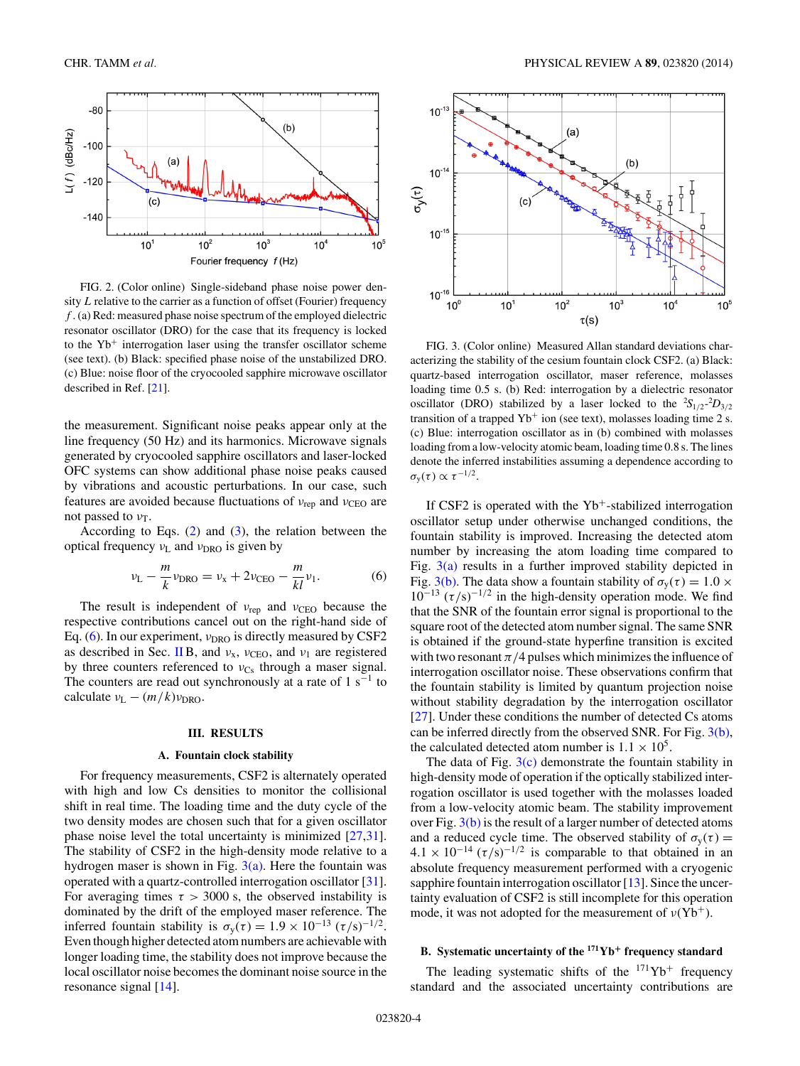<span id="page-3-0"></span>

FIG. 2. (Color online) Single-sideband phase noise power density *L* relative to the carrier as a function of offset (Fourier) frequency *f* . (a) Red: measured phase noise spectrum of the employed dielectric resonator oscillator (DRO) for the case that its frequency is locked to the  $Yb<sup>+</sup>$  interrogation laser using the transfer oscillator scheme (see text). (b) Black: specified phase noise of the unstabilized DRO. (c) Blue: noise floor of the cryocooled sapphire microwave oscillator described in Ref. [\[21\]](#page-6-0).

the measurement. Significant noise peaks appear only at the line frequency (50 Hz) and its harmonics. Microwave signals generated by cryocooled sapphire oscillators and laser-locked OFC systems can show additional phase noise peaks caused by vibrations and acoustic perturbations. In our case, such features are avoided because fluctuations of *ν*<sub>rep</sub> and *ν*<sub>CEO</sub> are not passed to *ν*<sub>T</sub>.

According to Eqs.  $(2)$  and  $(3)$ , the relation between the optical frequency *ν*<sub>L</sub> and *ν*<sub>DRO</sub> is given by

$$
\nu_{\rm L} - \frac{m}{k} \nu_{\rm DRO} = \nu_{\rm x} + 2 \nu_{\rm CEO} - \frac{m}{kl} \nu_{\rm 1}.
$$
 (6)

The result is independent of *ν*<sub>rep</sub> and *ν*<sub>CEO</sub> because the respective contributions cancel out on the right-hand side of Eq. (6). In our experiment, *ν*<sub>DRO</sub> is directly measured by CSF2 as described in Sec. [II](#page-1-0) B, and  $v_x$ ,  $v_{\text{CEO}}$ , and  $v_1$  are registered by three counters referenced to *ν*<sub>Cs</sub> through a maser signal. The counters are read out synchronously at a rate of  $1 \text{ s}^{-1}$  to calculate  $v_L - (m/k)v_{\text{DRO}}$ .

### **III. RESULTS**

### **A. Fountain clock stability**

For frequency measurements, CSF2 is alternately operated with high and low Cs densities to monitor the collisional shift in real time. The loading time and the duty cycle of the two density modes are chosen such that for a given oscillator phase noise level the total uncertainty is minimized [\[27,31\]](#page-7-0). The stability of CSF2 in the high-density mode relative to a hydrogen maser is shown in Fig.  $3(a)$ . Here the fountain was operated with a quartz-controlled interrogation oscillator [\[31\]](#page-7-0). For averaging times  $\tau > 3000$  s, the observed instability is dominated by the drift of the employed maser reference. The inferred fountain stability is  $\sigma_y(\tau) = 1.9 \times 10^{-13} (\tau/s)^{-1/2}$ . Even though higher detected atom numbers are achievable with longer loading time, the stability does not improve because the local oscillator noise becomes the dominant noise source in the resonance signal [\[14\]](#page-6-0).



FIG. 3. (Color online) Measured Allan standard deviations characterizing the stability of the cesium fountain clock CSF2. (a) Black: quartz-based interrogation oscillator, maser reference, molasses loading time 0.5 s. (b) Red: interrogation by a dielectric resonator oscillator (DRO) stabilized by a laser locked to the  ${}^{2}S_{1/2}$ - ${}^{2}D_{3/2}$ transition of a trapped  $Yb^+$  ion (see text), molasses loading time 2 s. (c) Blue: interrogation oscillator as in (b) combined with molasses loading from a low-velocity atomic beam, loading time 0.8 s. The lines denote the inferred instabilities assuming a dependence according to *σ*<sub>y</sub>(*τ*)  $\propto$  *τ*<sup>-1/2</sup>.

If CSF2 is operated with the  $Yb^+$ -stabilized interrogation oscillator setup under otherwise unchanged conditions, the fountain stability is improved. Increasing the detected atom number by increasing the atom loading time compared to Fig.  $3(a)$  results in a further improved stability depicted in Fig. 3(b). The data show a fountain stability of  $\sigma_v(\tau) = 1.0 \times$  $10^{-13}$  ( $\tau$ /s)<sup>-1/2</sup> in the high-density operation mode. We find that the SNR of the fountain error signal is proportional to the square root of the detected atom number signal. The same SNR is obtained if the ground-state hyperfine transition is excited with two resonant  $\pi/4$  pulses which minimizes the influence of interrogation oscillator noise. These observations confirm that the fountain stability is limited by quantum projection noise without stability degradation by the interrogation oscillator [\[27\]](#page-7-0). Under these conditions the number of detected Cs atoms can be inferred directly from the observed SNR. For Fig. 3(b), the calculated detected atom number is  $1.1 \times 10^5$ .

The data of Fig.  $3(c)$  demonstrate the fountain stability in high-density mode of operation if the optically stabilized interrogation oscillator is used together with the molasses loaded from a low-velocity atomic beam. The stability improvement over Fig. 3(b) is the result of a larger number of detected atoms and a reduced cycle time. The observed stability of  $\sigma_{v}(\tau) =$  $4.1 \times 10^{-14}$  ( $\tau/s$ )<sup>-1/2</sup> is comparable to that obtained in an absolute frequency measurement performed with a cryogenic sapphire fountain interrogation oscillator [\[13\]](#page-6-0). Since the uncertainty evaluation of CSF2 is still incomplete for this operation mode, it was not adopted for the measurement of  $v(Yb^+)$ .

## **B. Systematic uncertainty of the 171Yb<sup>+</sup> frequency standard**

The leading systematic shifts of the  $171\text{Yb}^+$  frequency standard and the associated uncertainty contributions are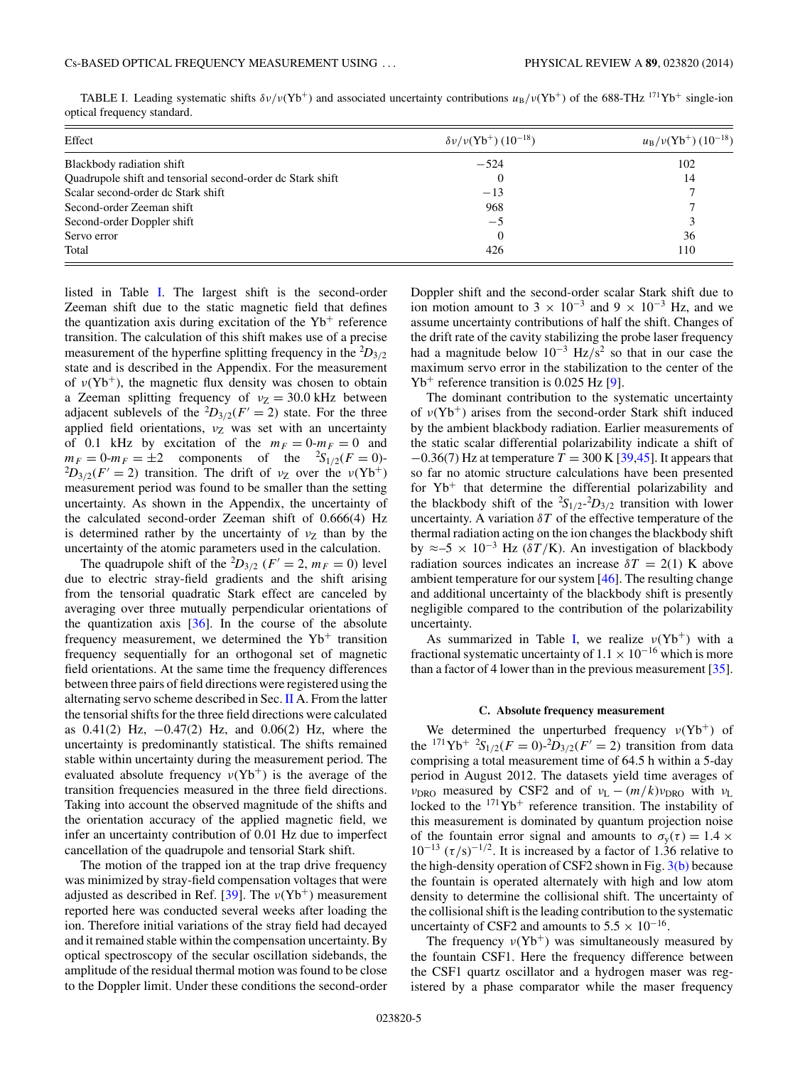TABLE I. Leading systematic shifts  $\delta v/v(\dot{Y}b^+)$  and associated uncertainty contributions  $u_B/v(\dot{Y}b^+)$  of the 688-THz <sup>171</sup>Yb<sup>+</sup> single-ion optical frequency standard.

| Effect                                                     | $\delta v/v({\rm Yb}^{+})$ (10 <sup>-18</sup> ) | $u_{\rm B}/v({\rm Yb}^{+})$ (10 <sup>-18</sup> ) |
|------------------------------------------------------------|-------------------------------------------------|--------------------------------------------------|
| Blackbody radiation shift                                  | $-524$                                          | 102                                              |
| Quadrupole shift and tensorial second-order dc Stark shift | $\theta$                                        | 14                                               |
| Scalar second-order dc Stark shift                         | $-13$                                           |                                                  |
| Second-order Zeeman shift                                  | 968                                             |                                                  |
| Second-order Doppler shift                                 | $-5$                                            |                                                  |
| Servo error                                                | $\overline{0}$                                  | 36                                               |
| Total                                                      | 426                                             | 110                                              |

listed in Table I. The largest shift is the second-order Zeeman shift due to the static magnetic field that defines the quantization axis during excitation of the  $Yb^+$  reference transition. The calculation of this shift makes use of a precise measurement of the hyperfine splitting frequency in the  ${}^{2}D_{3/2}$ state and is described in the Appendix. For the measurement of  $v(Yb^+)$ , the magnetic flux density was chosen to obtain a Zeeman splitting frequency of  $v_Z = 30.0$  kHz between adjacent sublevels of the  ${}^2D_{3/2}(F' = 2)$  state. For the three applied field orientations,  $v_Z$  was set with an uncertainty of 0.1 kHz by excitation of the  $m_F = 0$ - $m_F = 0$  and  $m_F = 0$ - $m_F = \pm 2$  components of the  ${}^{2}S_{1/2}(F = 0)$ - ${}^{2}D_{3/2}(F'=2)$  transition. The drift of *ν*<sub>Z</sub> over the *ν*(Yb<sup>+</sup>) measurement period was found to be smaller than the setting uncertainty. As shown in the Appendix, the uncertainty of the calculated second-order Zeeman shift of 0.666(4) Hz is determined rather by the uncertainty of  $v<sub>Z</sub>$  than by the uncertainty of the atomic parameters used in the calculation.

The quadrupole shift of the <sup>2</sup>D<sub>3/2</sub> ( $F' = 2$ ,  $m_F = 0$ ) level due to electric stray-field gradients and the shift arising from the tensorial quadratic Stark effect are canceled by averaging over three mutually perpendicular orientations of the quantization axis  $[36]$ . In the course of the absolute frequency measurement, we determined the  $Yb<sup>+</sup>$  transition frequency sequentially for an orthogonal set of magnetic field orientations. At the same time the frequency differences between three pairs of field directions were registered using the alternating servo scheme described in Sec. [II](#page-1-0) A. From the latter the tensorial shifts for the three field directions were calculated as 0.41(2) Hz, −0.47(2) Hz, and 0.06(2) Hz, where the uncertainty is predominantly statistical. The shifts remained stable within uncertainty during the measurement period. The evaluated absolute frequency  $v(Yb^+)$  is the average of the transition frequencies measured in the three field directions. Taking into account the observed magnitude of the shifts and the orientation accuracy of the applied magnetic field, we infer an uncertainty contribution of 0.01 Hz due to imperfect cancellation of the quadrupole and tensorial Stark shift.

The motion of the trapped ion at the trap drive frequency was minimized by stray-field compensation voltages that were adjusted as described in Ref.  $[39]$ . The  $\nu(Yb^+)$  measurement reported here was conducted several weeks after loading the ion. Therefore initial variations of the stray field had decayed and it remained stable within the compensation uncertainty. By optical spectroscopy of the secular oscillation sidebands, the amplitude of the residual thermal motion was found to be close to the Doppler limit. Under these conditions the second-order Doppler shift and the second-order scalar Stark shift due to ion motion amount to 3  $\times$  10<sup>-3</sup> and 9  $\times$  10<sup>-3</sup> Hz, and we assume uncertainty contributions of half the shift. Changes of the drift rate of the cavity stabilizing the probe laser frequency had a magnitude below 10−<sup>3</sup> Hz*/*s<sup>2</sup> so that in our case the maximum servo error in the stabilization to the center of the  $Yb^+$  reference transition is 0.025 Hz [\[9\]](#page-6-0).

The dominant contribution to the systematic uncertainty of *ν*(Yb+) arises from the second-order Stark shift induced by the ambient blackbody radiation. Earlier measurements of the static scalar differential polarizability indicate a shift of −0.36(7) Hz at temperature *T* = 300 K [\[39,45\]](#page-7-0). It appears that so far no atomic structure calculations have been presented for  $Yb<sup>+</sup>$  that determine the differential polarizability and the blackbody shift of the  ${}^{2}S_{1/2}$ - ${}^{2}D_{3/2}$  transition with lower uncertainty. A variation  $\delta T$  of the effective temperature of the thermal radiation acting on the ion changes the blackbody shift by  $\approx$  –5 × 10<sup>-3</sup> Hz ( $\delta T/K$ ). An investigation of blackbody radiation sources indicates an increase  $\delta T = 2(1)$  K above ambient temperature for our system [\[46\]](#page-7-0). The resulting change and additional uncertainty of the blackbody shift is presently negligible compared to the contribution of the polarizability uncertainty.

As summarized in Table I, we realize  $\nu(Yb^+)$  with a fractional systematic uncertainty of  $1.1 \times 10^{-16}$  which is more than a factor of 4 lower than in the previous measurement [\[35\]](#page-7-0).

#### **C. Absolute frequency measurement**

We determined the unperturbed frequency  $v(Yb^+)$  of the <sup>171</sup>Yb<sup>+</sup>  ${}^{2}S_{1/2}(F = 0)$ - ${}^{2}D_{3/2}(F' = 2)$  transition from data comprising a total measurement time of 64.5 h within a 5-day period in August 2012. The datasets yield time averages of *ν*<sub>DRO</sub> measured by CSF2 and of  $v_L - (m/k)v_{DRO}$  with  $v_L$ locked to the  $171\text{Yb}^+$  reference transition. The instability of this measurement is dominated by quantum projection noise of the fountain error signal and amounts to  $\sigma_y(\tau) = 1.4 \times$  $10^{-13}$  ( $\tau$ /s)<sup>-1/2</sup>. It is increased by a factor of 1.36 relative to the high-density operation of CSF2 shown in Fig.  $3(b)$  because the fountain is operated alternately with high and low atom density to determine the collisional shift. The uncertainty of the collisional shift is the leading contribution to the systematic uncertainty of CSF2 and amounts to  $5.5 \times 10^{-16}$ .

The frequency  $v(Yb^+)$  was simultaneously measured by the fountain CSF1. Here the frequency difference between the CSF1 quartz oscillator and a hydrogen maser was registered by a phase comparator while the maser frequency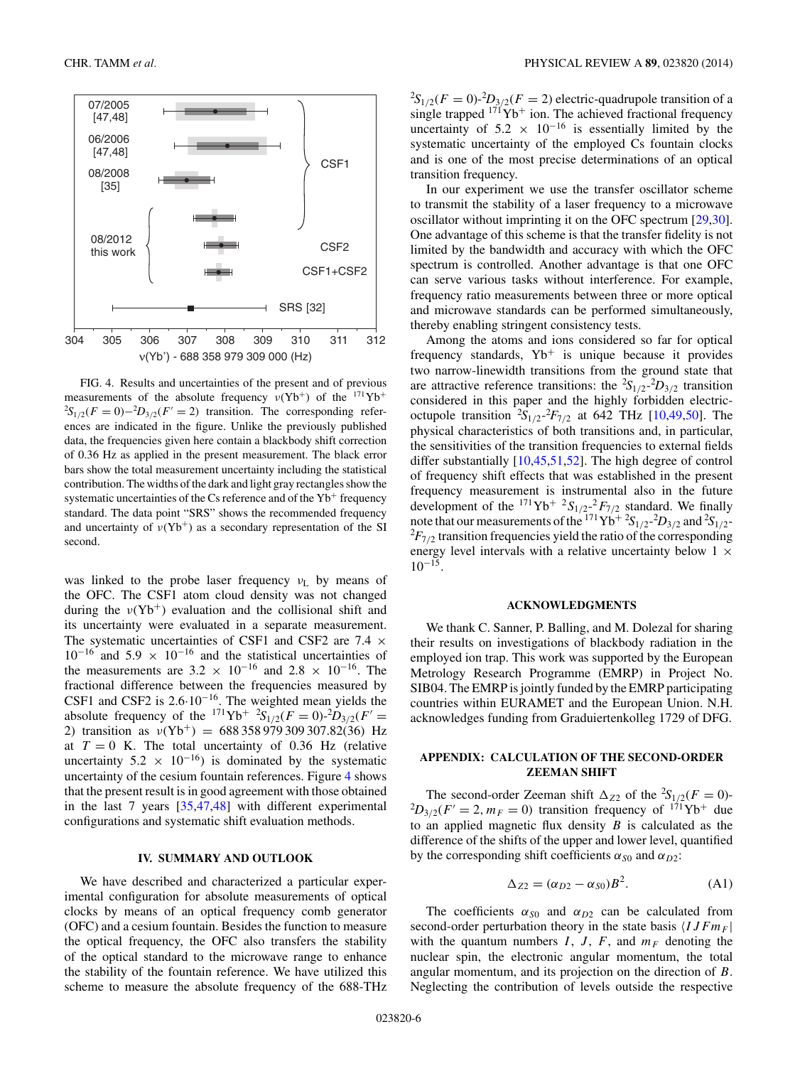

FIG. 4. Results and uncertainties of the present and of previous measurements of the absolute frequency  $v(Yb^+)$  of the <sup>171</sup>Yb<sup>+</sup>  ${}^{2}S_{1/2}(F=0) - {}^{2}D_{3/2}(F'=2)$  transition. The corresponding references are indicated in the figure. Unlike the previously published data, the frequencies given here contain a blackbody shift correction of 0.36 Hz as applied in the present measurement. The black error bars show the total measurement uncertainty including the statistical contribution. The widths of the dark and light gray rectangles show the systematic uncertainties of the Cs reference and of the  $Yb^+$  frequency standard. The data point "SRS" shows the recommended frequency and uncertainty of  $v(Yb^+)$  as a secondary representation of the SI second.

was linked to the probe laser frequency *ν*<sub>L</sub> by means of the OFC. The CSF1 atom cloud density was not changed during the  $v(Yb^+)$  evaluation and the collisional shift and its uncertainty were evaluated in a separate measurement. The systematic uncertainties of CSF1 and CSF2 are 7.4  $\times$  $10^{-16}$  and  $5.9 \times 10^{-16}$  and the statistical uncertainties of the measurements are  $3.2 \times 10^{-16}$  and  $2.8 \times 10^{-16}$ . The fractional difference between the frequencies measured by CSF1 and CSF2 is 2.6·10−16. The weighted mean yields the absolute frequency of the  $^{171}\text{Yb}^+$   $^{2}\text{S}_{1/2}(F=0)$ - $^{2}D_{3/2}(F'=0)$ 2) transition as *ν*(Yb<sup>+</sup>) = 688 358 979 309 307.82(36) Hz at  $T = 0$  K. The total uncertainty of 0.36 Hz (relative uncertainty 5.2  $\times$  10<sup>-16</sup>) is dominated by the systematic uncertainty of the cesium fountain references. Figure 4 shows that the present result is in good agreement with those obtained in the last 7 years [\[35,47,48\]](#page-7-0) with different experimental configurations and systematic shift evaluation methods.

### **IV. SUMMARY AND OUTLOOK**

We have described and characterized a particular experimental configuration for absolute measurements of optical clocks by means of an optical frequency comb generator (OFC) and a cesium fountain. Besides the function to measure the optical frequency, the OFC also transfers the stability of the optical standard to the microwave range to enhance the stability of the fountain reference. We have utilized this scheme to measure the absolute frequency of the 688-THz  ${}^{2}S_{1/2}(F=0)$ - ${}^{2}D_{3/2}(F=2)$  electric-quadrupole transition of a single trapped  $171\text{Yb}^+$  ion. The achieved fractional frequency uncertainty of 5.2  $\times$  10<sup>-16</sup> is essentially limited by the systematic uncertainty of the employed Cs fountain clocks and is one of the most precise determinations of an optical transition frequency.

In our experiment we use the transfer oscillator scheme to transmit the stability of a laser frequency to a microwave oscillator without imprinting it on the OFC spectrum [\[29,30\]](#page-7-0). One advantage of this scheme is that the transfer fidelity is not limited by the bandwidth and accuracy with which the OFC spectrum is controlled. Another advantage is that one OFC can serve various tasks without interference. For example, frequency ratio measurements between three or more optical and microwave standards can be performed simultaneously, thereby enabling stringent consistency tests.

Among the atoms and ions considered so far for optical frequency standards,  $Yb^+$  is unique because it provides two narrow-linewidth transitions from the ground state that are attractive reference transitions: the  ${}^{2}S_{1/2} {}^{2}D_{3/2}$  transition considered in this paper and the highly forbidden electricoctupole transition  ${}^{2}S_{1/2} {}^{2}F_{7/2}$  at 642 THz [\[10,](#page-6-0)[49,50\]](#page-7-0). The physical characteristics of both transitions and, in particular, the sensitivities of the transition frequencies to external fields differ substantially [\[10](#page-6-0)[,45,51,52\]](#page-7-0). The high degree of control of frequency shift effects that was established in the present frequency measurement is instrumental also in the future development of the  $^{171}\text{Yb}^+$   $^2S_{1/2}$ - $^2F_{7/2}$  standard. We finally note that our measurements of the  $^{171}Yb^{+2}S_{1/2}$ <sup>-2</sup>D<sub>3/2</sub> and  $^{2}S_{1/2}$ <sup>-2</sup> $^{2}E_{2/2}$  transition frequencies vield the ratio of the corresponding  ${}^{2}F_{7/2}$  transition frequencies yield the ratio of the corresponding energy level intervals with a relative uncertainty below  $1 \times$  $10^{-15}$ 

## **ACKNOWLEDGMENTS**

We thank C. Sanner, P. Balling, and M. Dolezal for sharing their results on investigations of blackbody radiation in the employed ion trap. This work was supported by the European Metrology Research Programme (EMRP) in Project No. SIB04. The EMRP is jointly funded by the EMRP participating countries within EURAMET and the European Union. N.H. acknowledges funding from Graduiertenkolleg 1729 of DFG.

## **APPENDIX: CALCULATION OF THE SECOND-ORDER ZEEMAN SHIFT**

The second-order Zeeman shift  $\Delta_{Z2}$  of the <sup>2</sup>S<sub>1/2</sub>( $F = 0$ )- ${}^{2}D_{3/2}(F' = 2, m_F = 0)$  transition frequency of  ${}^{171}\text{Yb}^+$  due to an applied magnetic flux density *B* is calculated as the difference of the shifts of the upper and lower level, quantified by the corresponding shift coefficients  $\alpha_{S0}$  and  $\alpha_{D2}$ :

$$
\Delta_{Z2} = (\alpha_{D2} - \alpha_{S0})B^2. \tag{A1}
$$

The coefficients  $\alpha_{S0}$  and  $\alpha_{D2}$  can be calculated from second-order perturbation theory in the state basis  $\langle I J F m_F |$ with the quantum numbers  $I, J, F$ , and  $m_F$  denoting the nuclear spin, the electronic angular momentum, the total angular momentum, and its projection on the direction of *B*. Neglecting the contribution of levels outside the respective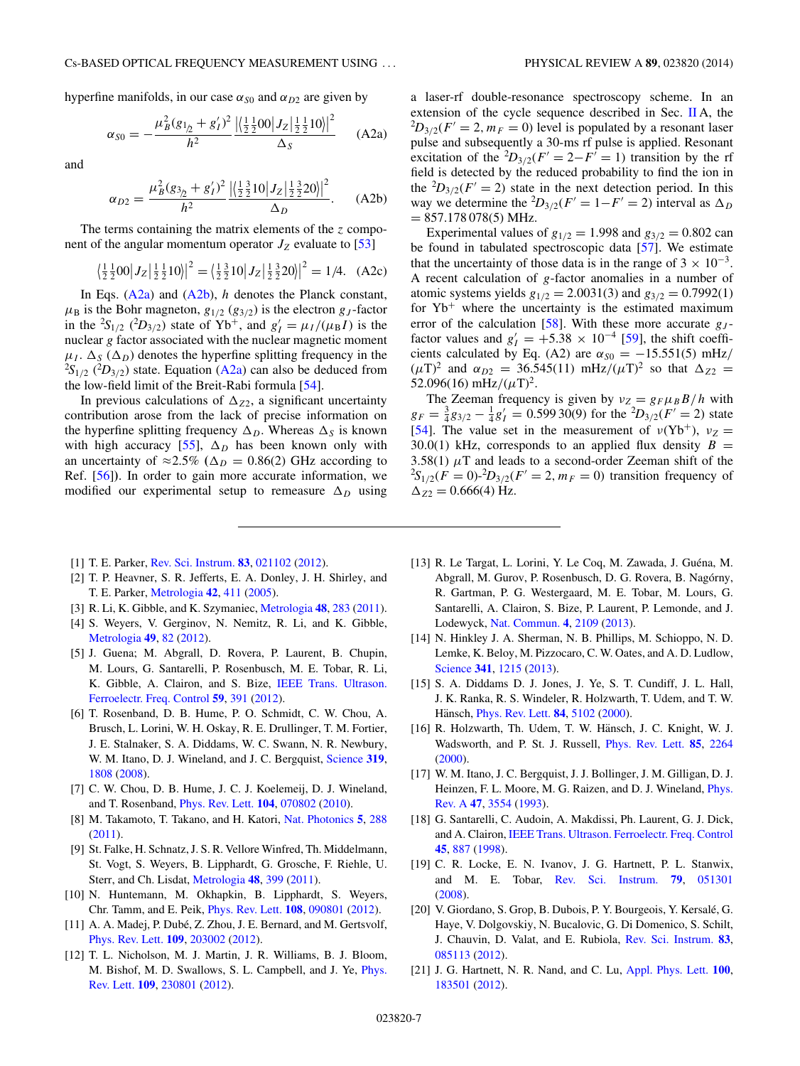<span id="page-6-0"></span>hyperfine manifolds, in our case  $\alpha_{S0}$  and  $\alpha_{D2}$  are given by

$$
\alpha_{S0} = -\frac{\mu_B^2 (g_{1/2} + g'_I)^2}{h^2} \frac{\left| \left( \frac{1}{2} \frac{1}{2} 00 \right| J_Z \left| \frac{1}{2} \frac{1}{2} 10 \right| \right|^2}{\Delta_S} \quad \text{(A2a)}
$$

and

$$
\alpha_{D2} = \frac{\mu_B^2 (g_{3/2} + g_I')^2}{h^2} \frac{\left| \left( \frac{1}{2} \frac{3}{2} 10 \right| J_Z \right| \frac{1}{2} \frac{3}{2} 20 \right|^2}{\Delta_D}.
$$
 (A2b)

The terms containing the matrix elements of the *z* component of the angular momentum operator  $J_Z$  evaluate to [\[53\]](#page-7-0)

$$
\left\langle \frac{1}{2} \frac{1}{2} 00 \middle| J_Z \middle| \frac{1}{2} \frac{1}{2} 10 \right\rangle \middle| ^2 = \left\langle \frac{1}{2} \frac{3}{2} 10 \middle| J_Z \middle| \frac{1}{2} \frac{3}{2} 20 \right\rangle \middle| ^2 = 1/4. \quad (A2c)
$$

In Eqs. (A2a) and (A2b), *h* denotes the Planck constant,  $\mu_B$  is the Bohr magneton,  $g_{1/2}$  ( $g_{3/2}$ ) is the electron  $g_J$ -factor in the <sup>2</sup>S<sub>1/2</sub> (<sup>2</sup>D<sub>3/2</sub>) state of Yb<sup>+</sup>, and  $g'_I = \mu_I/(\mu_B I)$  is the nuclear *g* factor associated with the nuclear magnetic moment  $\mu_I$ .  $\Delta_S$  ( $\Delta_D$ ) denotes the hyperfine splitting frequency in the  ${}^{2}S_{1/2}$  ( ${}^{2}D_{3/2}$ ) state. Equation (A2a) can also be deduced from the low-field limit of the Breit-Rabi formula [\[54\]](#page-7-0).

In previous calculations of  $\Delta_{Z2}$ , a significant uncertainty contribution arose from the lack of precise information on the hyperfine splitting frequency  $\Delta_D$ . Whereas  $\Delta_S$  is known with high accuracy  $[55]$ ,  $\Delta_D$  has been known only with an uncertainty of  $\approx 2.5\%$  ( $\Delta_D = 0.86(2)$  GHz according to Ref. [\[56\]](#page-7-0)**)**. In order to gain more accurate information, we modified our experimental setup to remeasure  $\Delta_D$  using a laser-rf double-resonance spectroscopy scheme. In an extension of the cycle sequence described in Sec.  $\mathbf{II}$  $\mathbf{II}$  $\mathbf{II}$  A, the  ${}^{2}D_{3/2}(F) = 2, m_F = 0$ ) level is populated by a resonant laser pulse and subsequently a 30-ms rf pulse is applied. Resonant excitation of the <sup>2</sup> $D_{3/2}(F' = 2 - F' = 1)$  transition by the rf field is detected by the reduced probability to find the ion in the  ${}^{2}D_{3/2}(F) = 2$ ) state in the next detection period. In this way we determine the <sup>2</sup>D<sub>3/2</sub>( $F' = 1 - F' = 2$ ) interval as  $\Delta_D$  $= 857.178078(5) \text{ MHz}.$ 

Experimental values of  $g_{1/2} = 1.998$  and  $g_{3/2} = 0.802$  can be found in tabulated spectroscopic data [\[57\]](#page-7-0). We estimate that the uncertainty of those data is in the range of  $3 \times 10^{-3}$ . A recent calculation of *g*-factor anomalies in a number of atomic systems yields  $g_{1/2} = 2.0031(3)$  and  $g_{3/2} = 0.7992(1)$ for  $Yb^+$  where the uncertainty is the estimated maximum error of the calculation [\[58\]](#page-7-0). With these more accurate  $g_J$ factor values and  $g'_I = +5.38 \times 10^{-4}$  [\[59\]](#page-7-0), the shift coefficients calculated by Eq. (A2) are  $\alpha_{S0} = -15.551(5)$  mHz/  $(\mu T)^2$  and  $\alpha_{D2} = 36.545(11) \text{ mHz}/(\mu T)^2$  so that  $\Delta_{Z2} =$ 52.096(16) mHz/ $(\mu T)^2$ .

The Zeeman frequency is given by  $v_Z = g_F \mu_B B/h$  with  $g_F = \frac{3}{4}g_{3/2} - \frac{1}{4}g'_I = 0.59930(9)$  for the  ${}^2D_{3/2}(F' = 2)$  state [\[54\]](#page-7-0). The value set in the measurement of  $v(Yb^{+})$ ,  $v_Z =$ 30.0(1) kHz, corresponds to an applied flux density  $B =$ 3.58(1)  $\mu$ T and leads to a second-order Zeeman shift of the  ${}^{2}S_{1/2}(F=0)$ - ${}^{2}D_{3/2}(F'=2, m_F=0)$  transition frequency of  $\Delta_{Z2} = 0.666(4)$  Hz.

- [1] T. E. Parker, [Rev. Sci. Instrum.](http://dx.doi.org/10.1063/1.3682002) **[83](http://dx.doi.org/10.1063/1.3682002)**, [021102](http://dx.doi.org/10.1063/1.3682002) [\(2012\)](http://dx.doi.org/10.1063/1.3682002).
- [2] T. P. Heavner, S. R. Jefferts, E. A. Donley, J. H. Shirley, and T. E. Parker, [Metrologia](http://dx.doi.org/10.1088/0026-1394/42/5/012) **[42](http://dx.doi.org/10.1088/0026-1394/42/5/012)**, [411](http://dx.doi.org/10.1088/0026-1394/42/5/012) [\(2005\)](http://dx.doi.org/10.1088/0026-1394/42/5/012).
- [3] R. Li, K. Gibble, and K. Szymaniec, [Metrologia](http://dx.doi.org/10.1088/0026-1394/48/5/007) **[48](http://dx.doi.org/10.1088/0026-1394/48/5/007)**, [283](http://dx.doi.org/10.1088/0026-1394/48/5/007) [\(2011\)](http://dx.doi.org/10.1088/0026-1394/48/5/007).
- [4] S. Weyers, V. Gerginov, N. Nemitz, R. Li, and K. Gibble, [Metrologia](http://dx.doi.org/10.1088/0026-1394/49/1/012) **[49](http://dx.doi.org/10.1088/0026-1394/49/1/012)**, [82](http://dx.doi.org/10.1088/0026-1394/49/1/012) [\(2012\)](http://dx.doi.org/10.1088/0026-1394/49/1/012).
- [5] J. Guena; M. Abgrall, D. Rovera, P. Laurent, B. Chupin, M. Lours, G. Santarelli, P. Rosenbusch, M. E. Tobar, R. Li, [K. Gibble, A. Clairon, and S. Bize,](http://dx.doi.org/10.1109/TUFFC.2012.2208) IEEE Trans. Ultrason. Ferroelectr. Freq. Control **[59](http://dx.doi.org/10.1109/TUFFC.2012.2208)**, [391](http://dx.doi.org/10.1109/TUFFC.2012.2208) [\(2012\)](http://dx.doi.org/10.1109/TUFFC.2012.2208).
- [6] T. Rosenband, D. B. Hume, P. O. Schmidt, C. W. Chou, A. Brusch, L. Lorini, W. H. Oskay, R. E. Drullinger, T. M. Fortier, J. E. Stalnaker, S. A. Diddams, W. C. Swann, N. R. Newbury, W. M. Itano, D. J. Wineland, and J. C. Bergquist, [Science](http://dx.doi.org/10.1126/science.1154622) **[319](http://dx.doi.org/10.1126/science.1154622)**, [1808](http://dx.doi.org/10.1126/science.1154622) [\(2008\)](http://dx.doi.org/10.1126/science.1154622).
- [7] C. W. Chou, D. B. Hume, J. C. J. Koelemeij, D. J. Wineland, and T. Rosenband, [Phys. Rev. Lett.](http://dx.doi.org/10.1103/PhysRevLett.104.070802) **[104](http://dx.doi.org/10.1103/PhysRevLett.104.070802)**, [070802](http://dx.doi.org/10.1103/PhysRevLett.104.070802) [\(2010\)](http://dx.doi.org/10.1103/PhysRevLett.104.070802).
- [8] M. Takamoto, T. Takano, and H. Katori, [Nat. Photonics](http://dx.doi.org/10.1038/nphoton.2011.34) **[5](http://dx.doi.org/10.1038/nphoton.2011.34)**, [288](http://dx.doi.org/10.1038/nphoton.2011.34) [\(2011\)](http://dx.doi.org/10.1038/nphoton.2011.34).
- [9] St. Falke, H. Schnatz, J. S. R. Vellore Winfred, Th. Middelmann, St. Vogt, S. Weyers, B. Lipphardt, G. Grosche, F. Riehle, U. Sterr, and Ch. Lisdat, [Metrologia](http://dx.doi.org/10.1088/0026-1394/48/5/022) **[48](http://dx.doi.org/10.1088/0026-1394/48/5/022)**, [399](http://dx.doi.org/10.1088/0026-1394/48/5/022) [\(2011\)](http://dx.doi.org/10.1088/0026-1394/48/5/022).
- [10] N. Huntemann, M. Okhapkin, B. Lipphardt, S. Weyers, Chr. Tamm, and E. Peik, [Phys. Rev. Lett.](http://dx.doi.org/10.1103/PhysRevLett.108.090801) **[108](http://dx.doi.org/10.1103/PhysRevLett.108.090801)**, [090801](http://dx.doi.org/10.1103/PhysRevLett.108.090801) [\(2012\)](http://dx.doi.org/10.1103/PhysRevLett.108.090801).
- [11] A. A. Madej, P. Dubé, Z. Zhou, J. E. Bernard, and M. Gertsvolf, [Phys. Rev. Lett.](http://dx.doi.org/10.1103/PhysRevLett.109.203002) **[109](http://dx.doi.org/10.1103/PhysRevLett.109.203002)**, [203002](http://dx.doi.org/10.1103/PhysRevLett.109.203002) [\(2012\)](http://dx.doi.org/10.1103/PhysRevLett.109.203002).
- [12] T. L. Nicholson, M. J. Martin, J. R. Williams, B. J. Bloom, [M. Bishof, M. D. Swallows, S. L. Campbell, and J. Ye,](http://dx.doi.org/10.1103/PhysRevLett.109.230801) Phys. Rev. Lett. **[109](http://dx.doi.org/10.1103/PhysRevLett.109.230801)**, [230801](http://dx.doi.org/10.1103/PhysRevLett.109.230801) [\(2012\)](http://dx.doi.org/10.1103/PhysRevLett.109.230801).
- [13] R. Le Targat, L. Lorini, Y. Le Coq, M. Zawada, J. Guéna, M. Abgrall, M. Gurov, P. Rosenbusch, D. G. Rovera, B. Nagórny, R. Gartman, P. G. Westergaard, M. E. Tobar, M. Lours, G. Santarelli, A. Clairon, S. Bize, P. Laurent, P. Lemonde, and J. Lodewyck, [Nat. Commun.](http://dx.doi.org/10.1038/ncomms3109) **[4](http://dx.doi.org/10.1038/ncomms3109)**, [2109](http://dx.doi.org/10.1038/ncomms3109) [\(2013\)](http://dx.doi.org/10.1038/ncomms3109).
- [14] N. Hinkley J. A. Sherman, N. B. Phillips, M. Schioppo, N. D. Lemke, K. Beloy, M. Pizzocaro, C. W. Oates, and A. D. Ludlow, [Science](http://dx.doi.org/10.1126/science.1240420) **[341](http://dx.doi.org/10.1126/science.1240420)**, [1215](http://dx.doi.org/10.1126/science.1240420) [\(2013\)](http://dx.doi.org/10.1126/science.1240420).
- [15] S. A. Diddams D. J. Jones, J. Ye, S. T. Cundiff, J. L. Hall, J. K. Ranka, R. S. Windeler, R. Holzwarth, T. Udem, and T. W. Hänsch, *[Phys. Rev. Lett.](http://dx.doi.org/10.1103/PhysRevLett.84.5102)* **[84](http://dx.doi.org/10.1103/PhysRevLett.84.5102)**, [5102](http://dx.doi.org/10.1103/PhysRevLett.84.5102) [\(2000\)](http://dx.doi.org/10.1103/PhysRevLett.84.5102).
- [16] R. Holzwarth, Th. Udem, T. W. Hänsch, J. C. Knight, W. J. Wadsworth, and P. St. J. Russell, [Phys. Rev. Lett.](http://dx.doi.org/10.1103/PhysRevLett.85.2264) **[85](http://dx.doi.org/10.1103/PhysRevLett.85.2264)**, [2264](http://dx.doi.org/10.1103/PhysRevLett.85.2264) [\(2000\)](http://dx.doi.org/10.1103/PhysRevLett.85.2264).
- [17] W. M. Itano, J. C. Bergquist, J. J. Bollinger, J. M. Gilligan, D. J. [Heinzen, F. L. Moore, M. G. Raizen, and D. J. Wineland,](http://dx.doi.org/10.1103/PhysRevA.47.3554) Phys. Rev. A **[47](http://dx.doi.org/10.1103/PhysRevA.47.3554)**, [3554](http://dx.doi.org/10.1103/PhysRevA.47.3554) [\(1993\)](http://dx.doi.org/10.1103/PhysRevA.47.3554).
- [18] G. Santarelli, C. Audoin, A. Makdissi, Ph. Laurent, G. J. Dick, and A. Clairon, [IEEE Trans. Ultrason. Ferroelectr. Freq. Control](http://dx.doi.org/10.1109/58.710548) **[45](http://dx.doi.org/10.1109/58.710548)**, [887](http://dx.doi.org/10.1109/58.710548) [\(1998\)](http://dx.doi.org/10.1109/58.710548).
- [19] C. R. Locke, E. N. Ivanov, J. G. Hartnett, P. L. Stanwix, and M. E. Tobar, [Rev. Sci. Instrum.](http://dx.doi.org/10.1063/1.2919944) **[79](http://dx.doi.org/10.1063/1.2919944)**, [051301](http://dx.doi.org/10.1063/1.2919944) [\(2008\)](http://dx.doi.org/10.1063/1.2919944).
- [20] V. Giordano, S. Grop, B. Dubois, P. Y. Bourgeois, Y. Kersalé, G. Haye, V. Dolgovskiy, N. Bucalovic, G. Di Domenico, S. Schilt, J. Chauvin, D. Valat, and E. Rubiola, [Rev. Sci. Instrum.](http://dx.doi.org/10.1063/1.4747456) **[83](http://dx.doi.org/10.1063/1.4747456)**, [085113](http://dx.doi.org/10.1063/1.4747456) [\(2012\)](http://dx.doi.org/10.1063/1.4747456).
- [21] J. G. Hartnett, N. R. Nand, and C. Lu, [Appl. Phys. Lett.](http://dx.doi.org/10.1063/1.4709479) **[100](http://dx.doi.org/10.1063/1.4709479)**, [183501](http://dx.doi.org/10.1063/1.4709479) [\(2012\)](http://dx.doi.org/10.1063/1.4709479).